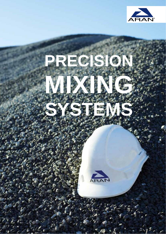

# **PRECISION MIXING SYSTEMS**

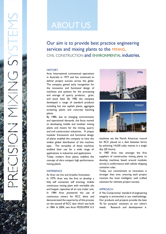# ABOUT US

### Our aim is to provide best practice engineering services and mixing plants to the MINING, CIVIL CONSTRUCTION and ENVIRONMENTAL industries.

#### **HISTORY**

Aran International commenced operations in Australia in 1977 and has continued to deliver project success across the globe. The company gained early recognition for the innovative and functional design of machines and systems for the processing and storage of quarry products, grain, and stock feed. By 1982 the company developed a range of standard products including hot mix asphalt plants, aggregate screening plants and concrete batching plants.

By 1980, due to changing environments and operational demands, the focus moved to developing mobile and modular mixing plants and mixers for the mining, quarry and civil construction industries. A unique modular framework and functional design of plants enabled the company to have the widest global distribution of this machine type. The versatility of these machines enabled their use for a wide range of applications in industries and applications. Today, modern Aran plants redefine the concept of ultra compact high performance mixing plants.

#### **DIFFERENCE**

At Aran we live and breathe Innovation.

In 1979, Aran was the first to develop a fully self contained, self erecting, mobile continuous mixing plant with workable silo and hopper capacities all on one trailer unit. In 1984 Aran pioneered the use of continuous mixers for RCC dams and demonstrated the superiority of this process on the second all RCC dam which was built in 1984. In 2004, two Aran MODUMIX II-3





machines set the North American record for RCC placed on a dam between forms by achieving 14,630 cubic metres in a single day (20 hours).

In 1987 Aran was amongst the first suppliers of construction mixing plants to develop machines based around modules strictly in conformance with cellular shipping container rules.

Today, our commitment to innovation is stronger than ever, ensuring each project receives the most intelligent, well crafted solutions for ultimate project success.

#### APPROACH

A 'No Compromise' standard of engineering integrity is entrenched in our methodology. Our products and projects provide the best 'fit for purpose' solutions to our client's needs. Research and development is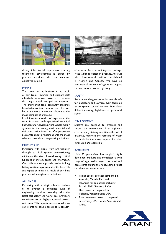

closely linked to field operations, ensuring technology development is driven by practical solutions with the end -user objectives in mind.

#### PEOPLE

The success of the business is the result of our team. Technical and support staff effectively resource projects to ensure that they are well managed and executed. The engineering team constantly challenge boundaries to test, question and discover better and more innovative solutions to the most complex of problems.

In addition to a wealth of experience, the team is armed with specialised technical knowledge for developing unbeatable mixing systems for the mining, environmental and civil construction industries. Our people are passionate about providing clients the most advanced, world -class engineering solutions.

#### **PARTNERSHIP**

Partnering with clients from pre -feasibility through to final system commissioning minimises the risk of overlooking critical functions of system design and integration. Our collaborative approach results in long lasting relationships with clients. Referrals and repeat business is a result of our 'best practice' value engineered solutions.

#### ALLIANCES

Partnering with strategic alliances enables us to provide a complete suite of engineering services. Working with the latest technology and world class providers contributes to our highly successful project outcomes. This imparts enormous value to our clients to enable access to a breadth



of services offered as an integrated package. Head Office is located in Brisbane , Australia with international offices established in Malaysia and Canada. We have an international network of agents to support and service our products globally.

#### **SAFETY**

Systems are designed to be intrinsically safe for operators and owners. Our focus on 'smart system control' ensures Aran plants deliver increasingly high levels of operational safety.

#### **ENVIRONMENT**

Systems are designed to embrace and respect the environment. Aran engineers are constantly striving to optimise the use of materials, maximise the recycling of water and minimise the space required for plant installation and operation.

#### **EXPERIENCE**

Over 4 5 years Aran has supplied highly developed products and completed a wide range of high profile projects for small and large clients around the globe. Some project and client examples include:

- Mining Backfill projects completed in Australia, Canada, Peru and Indonesia for companies including Barrick, BHP, Glencore & Vale.
- Dam projects completed in Malaysia, Venezuela and USA.
- Road pavement projects completed in Germany, UK, Finland, Australia and China.

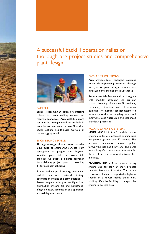## A successful backfill operation relies on thorough pre-project studies and comprehensive plant design.



#### **BACKFILL**

Backfill is becoming an increasingly effective solution for mine stability control and recovery economics. Aran backfill solutions consider the mining method and available fill materials to determine the best fill option. Backfill options include paste, hydraulic or cement aggregate fill.

#### ENGINEERING SERVICES

Through strategic alliances, Aran provides a full suite of engineering services from conception of project and beyond. Whether green field or brown field projects, we adopt a holistic approach from defining project goals to providing 'fit for purpose' solutions.

Studies include pre-feasibility, feasibility, backfill selection, material testing, optimisation studies and plant auditing. System design includes plant configuration, distribution system, fill and barricades, lifecycle design, commission and operation and stability assessment.

#### PACKAGED SOLUTIONS

Aran provides total packaged solutions to include engineering services through to systems plant design, manufacture, installation and ongoing site maintenance.

Systems are fully flexible and can integrate with modular screening and crushing circuits, blending of multiple fill products, thickening, filtration and distribution pumping. The modular concept extends to include optional water recycling circuits and innovative plant hibernation and sequenced shutdown processes.

#### PACKAGED MIXING SYSTEMS

**MODUMIX 11** is Aran's modular mixing system ideal for establishment on mine sites for periods greater than 12 months. The modular components connect together forming the total backfill system. The plants have a long life span and can be on-site for the life of the mine or relocated to another mine site.

**ENVIRONMIX** is Aran's mobile mixing system ideal for long or short projects requiring flexibility of location. The system is preassembled and transported at highway speeds on a robust mobile trailer unit. Mobility offers the flexibility to transport the system to multiple sites.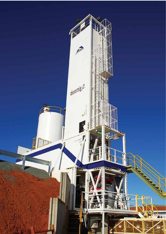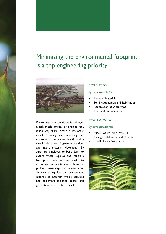## Minimising the environmental footprint is a top engineering priority.



Environmental responsibility is no longer a fashionable activity or project goal, it is a way of life. Aran's is passionate about restoring and renewing our environment to secure health and a sustainable future. Engineering services and mixing systems developed by Aran are employed to build dams to secure water supplies and generate hydropower, mix soils and wastes to rejuvenate construction sites, factories, polluted waterways and mining sites. Actively caring for the environment extends to ensuring Aran's activities and equipment minimise impact and generate a cleaner future for all.

#### REMEDIATION

#### Systems suitable for:

- **Recycled Materials**
- Soil Neutralisation and Stabilisation
- Reclamation of Waterways
- Chemical Immobilisation

#### WASTE DISPOSAL

#### Systems suitable for:

- Mine Closure using Paste Fill
- Tailings Stabilisation and Disposal
- Landfill Lining Preparation

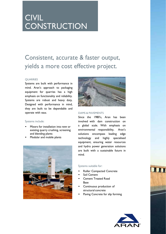## CIVIL **CONSTRUCTION**

## Consistent, accurate & faster output, yields a more cost effective project.

#### **OUARRIES**

Systems are built with performance in mind. Aran's approach to packaging equipment for quarries has a high emphasis on functionality and reliability. Systems are robust and heavy duty. Designed with performance in mind, they are built to be dependable and operate with ease.

#### Systems include:

- Mixers for installation into new or existing quarry crushing, screening and blending plants
- Modular and mobile plants





#### DAMS & PAVEMENTS

Since the 1980's, Aran has been involved with dam construction on a global scale. With emphasis on environmental responsibility, Aran's solutions encompass leading edge technology and highly specialised equipment, ensuring water resources and hydro power generation solutions are built with a sustainable future in mind.

#### Systems suitable for:

- Roller Compacted Concrete
- Soil Cement
- Cement Treated Road Base
- Continuous production of structural concrete
- Paving Concrete for slip forming